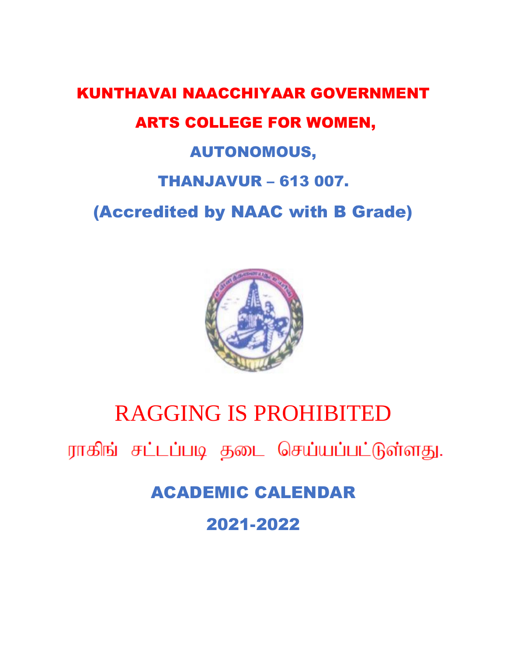## KUNTHAVAI NAACCHIYAAR GOVERNMENT ARTS COLLEGE FOR WOMEN, AUTONOMOUS, THANJAVUR – 613 007. (Accredited by NAAC with B Grade)



## RAGGING IS PROHIBITED

ராகிங் சட்டப்படி தடை செய்யப்பட்டுள்ளது.

ACADEMIC CALENDAR

2021-2022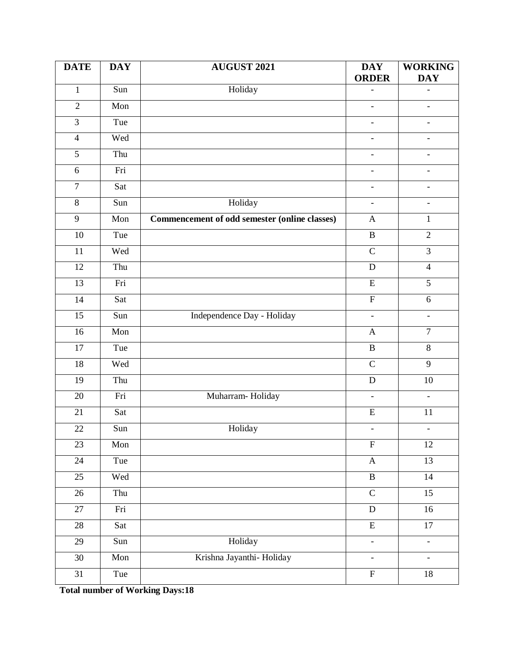| <b>DATE</b>      | <b>DAY</b> | <b>AUGUST 2021</b>                            | <b>DAY</b><br><b>ORDER</b>   | <b>WORKING</b><br><b>DAY</b> |
|------------------|------------|-----------------------------------------------|------------------------------|------------------------------|
| $\mathbf{1}$     | Sun        | Holiday                                       | $\qquad \qquad \blacksquare$ |                              |
| $\overline{2}$   | Mon        |                                               | $\overline{\phantom{a}}$     | $\overline{\phantom{a}}$     |
| $\overline{3}$   | Tue        |                                               | $\blacksquare$               | $\overline{\phantom{0}}$     |
| $\overline{4}$   | Wed        |                                               | $\overline{a}$               | $\overline{a}$               |
| $\overline{5}$   | Thu        |                                               | $\qquad \qquad \blacksquare$ | $\overline{\phantom{a}}$     |
| $\sqrt{6}$       | Fri        |                                               | $\overline{\phantom{a}}$     | $\blacksquare$               |
| $\boldsymbol{7}$ | Sat        |                                               | $\blacksquare$               | $\overline{\phantom{a}}$     |
| 8                | Sun        | Holiday                                       | $\overline{\phantom{0}}$     | $\overline{\phantom{a}}$     |
| $\overline{9}$   | Mon        | Commencement of odd semester (online classes) | $\mathbf{A}$                 | $\mathbf{1}$                 |
| 10               | Tue        |                                               | $\, {\bf B}$                 | $\overline{2}$               |
| $\overline{11}$  | Wed        |                                               | $\overline{C}$               | $\overline{3}$               |
| 12               | Thu        |                                               | $\mathbf D$                  | $\overline{4}$               |
| 13               | Fri        |                                               | $\mathbf E$                  | $\overline{5}$               |
| 14               | Sat        |                                               | ${\bf F}$                    | $6\phantom{.}6$              |
| $\overline{15}$  | Sun        | Independence Day - Holiday                    | $\blacksquare$               | $\overline{\phantom{a}}$     |
| 16               | Mon        |                                               | $\mathbf{A}$                 | $\overline{7}$               |
| 17               | Tue        |                                               | $\, {\bf B}$                 | $8\,$                        |
| 18               | Wed        |                                               | $\mathbf C$                  | 9                            |
| 19               | Thu        |                                               | ${\bf D}$                    | 10                           |
| 20               | Fri        | Muharram-Holiday                              | $\blacksquare$               | $\overline{\phantom{a}}$     |
| 21               | Sat        |                                               | ${\bf E}$                    | 11                           |
| 22               | Sun        | Holiday                                       | $\overline{\phantom{a}}$     | Ξ.                           |
| 23               | Mon        |                                               | $\overline{F}$               | 12                           |
| 24               | Tue        |                                               | $\mathbf{A}$                 | 13                           |
| 25               | Wed        |                                               | $\overline{B}$               | $\overline{14}$              |
| 26               | Thu        |                                               | $\overline{C}$               | 15                           |
| $\overline{27}$  | Fri        |                                               | ${\bf D}$                    | $16\,$                       |
| 28               | Sat        |                                               | $\overline{\mathrm{E}}$      | $\overline{17}$              |
| $\overline{29}$  | Sun        | Holiday                                       | $\overline{\phantom{0}}$     | $\frac{1}{2}$                |
| 30               | Mon        | Krishna Jayanthi- Holiday                     | $\blacksquare$               | $\overline{\phantom{a}}$     |
| 31               | Tue        |                                               | $\mathbf F$                  | 18                           |

**Total number of Working Days:18**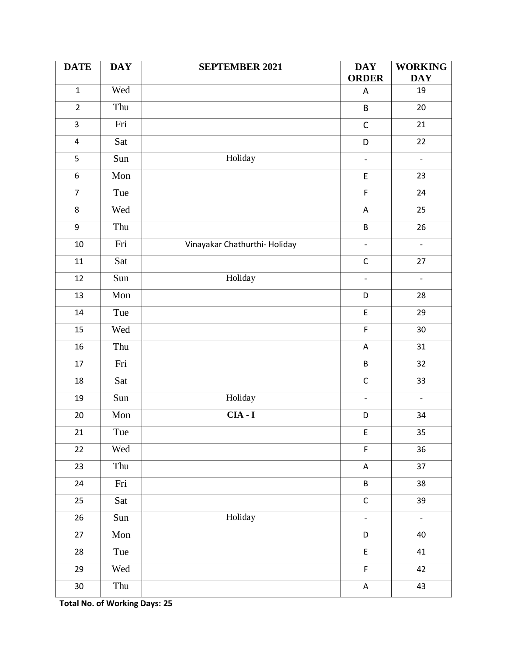| <b>DATE</b>      | <b>DAY</b> | <b>SEPTEMBER 2021</b>         | <b>DAY</b><br><b>ORDER</b>                 | <b>WORKING</b><br><b>DAY</b> |
|------------------|------------|-------------------------------|--------------------------------------------|------------------------------|
| $\mathbf{1}$     | Wed        |                               | $\boldsymbol{\mathsf{A}}$                  | 19                           |
| $\overline{2}$   | Thu        |                               | $\sf B$                                    | $20\,$                       |
| $\mathsf{3}$     | Fri        |                               | $\mathsf C$                                | 21                           |
| $\pmb{4}$        | Sat        |                               | D                                          | 22                           |
| 5                | Sun        | Holiday                       | $\frac{1}{2}$                              | $\overline{\phantom{a}}$     |
| $\boldsymbol{6}$ | Mon        |                               | $\sf E$                                    | 23                           |
| $\overline{7}$   | Tue        |                               | $\mathsf F$                                | 24                           |
| 8                | Wed        |                               | $\boldsymbol{\mathsf{A}}$                  | 25                           |
| $\boldsymbol{9}$ | Thu        |                               | $\sf B$                                    | 26                           |
| 10               | Fri        | Vinayakar Chathurthi- Holiday | $\frac{1}{2}$                              | $\overline{\phantom{0}}$     |
| 11               | Sat        |                               | $\mathsf C$                                | 27                           |
| 12               | Sun        | Holiday                       | $\blacksquare$                             | $\overline{\phantom{a}}$     |
| 13               | Mon        |                               | D                                          | 28                           |
| $14\,$           | Tue        |                               | $\mathsf E$                                | 29                           |
| 15               | Wed        |                               | F                                          | 30                           |
| 16               | Thu        |                               | $\boldsymbol{\mathsf{A}}$                  | 31                           |
| 17               | Fri        |                               | $\sf B$                                    | 32                           |
| 18               | Sat        |                               | $\mathsf C$                                | 33                           |
| 19               | Sun        | Holiday                       | $\frac{1}{2}$                              | ÷,                           |
| 20               | Mon        | $CIA - I$                     | D                                          | 34                           |
| $21\,$           | Tue        |                               | $\mathsf{E}$                               | 35                           |
| 22               | Wed        |                               | $\mathsf F$                                | 36                           |
| 23               | Thu        |                               | $\mathsf A$                                | 37                           |
| 24               | Fri        |                               | $\sf B$                                    | 38                           |
| 25               | Sat        |                               | $\mathsf{C}$                               | 39                           |
| 26               | Sun        | Holiday                       | $\overline{\phantom{a}}$                   | $\blacksquare$               |
| 27               | Mon        |                               | D                                          | 40                           |
| 28               | Tue        |                               | $\mathsf{E}% _{0}\left( \mathsf{E}\right)$ | 41                           |
| 29               | Wed        |                               | $\mathsf F$                                | 42                           |
| $30\,$           | Thu        |                               | A                                          | 43                           |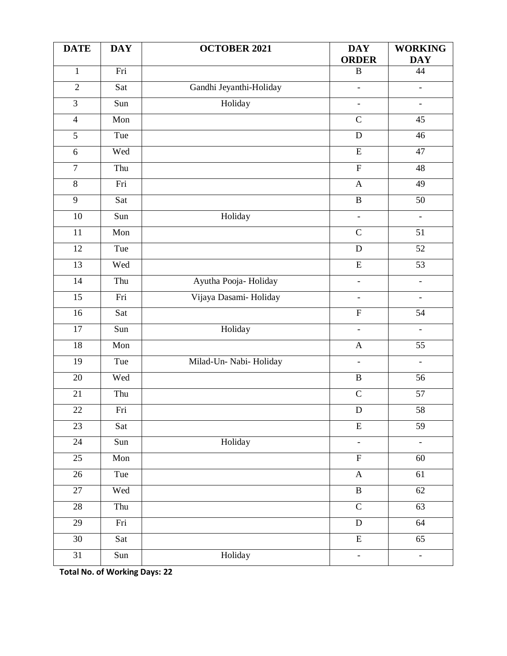| <b>DATE</b>     | <b>DAY</b>                | <b>OCTOBER 2021</b>     | <b>DAY</b><br><b>ORDER</b> | <b>WORKING</b><br><b>DAY</b> |
|-----------------|---------------------------|-------------------------|----------------------------|------------------------------|
| $\mathbf{1}$    | Fri                       |                         | $\, {\bf B}$               | 44                           |
| $\overline{2}$  | Sat                       | Gandhi Jeyanthi-Holiday | $\overline{\phantom{0}}$   | $\qquad \qquad -$            |
| $\overline{3}$  | Sun                       | Holiday                 | $\overline{\phantom{a}}$   | $\overline{\phantom{a}}$     |
| $\overline{4}$  | Mon                       |                         | $\overline{C}$             | 45                           |
| $\overline{5}$  | Tue                       |                         | $\overline{D}$             | $\overline{46}$              |
| $\sqrt{6}$      | Wed                       |                         | $\overline{E}$             | $\overline{47}$              |
| $\overline{7}$  | Thu                       |                         | $\overline{F}$             | 48                           |
| $\overline{8}$  | Fri                       |                         | $\mathbf{A}$               | 49                           |
| $\overline{9}$  | Sat                       |                         | $\overline{B}$             | $\overline{50}$              |
| $\overline{10}$ | Sun                       | Holiday                 | $\overline{\phantom{a}}$   | $\blacksquare$               |
| 11              | Mon                       |                         | $\mathbf C$                | 51                           |
| 12              | Tue                       |                         | D                          | 52                           |
| $\overline{13}$ | Wed                       |                         | $\overline{E}$             | $\overline{53}$              |
| 14              | Thu                       | Ayutha Pooja- Holiday   | $\overline{\phantom{a}}$   | $\blacksquare$               |
| $\overline{15}$ | Fri                       | Vijaya Dasami- Holiday  | $\blacksquare$             | $\blacksquare$               |
| 16              | Sat                       |                         | $\overline{F}$             | 54                           |
| 17              | Sun                       | Holiday                 | $\frac{1}{2}$              | $\Box$                       |
| 18              | Mon                       |                         | $\mathbf A$                | 55                           |
| 19              | Tue                       | Milad-Un- Nabi- Holiday | $\frac{1}{2}$              | $\blacksquare$               |
| 20              | Wed                       |                         | $\overline{B}$             | 56                           |
| 21              | Thu                       |                         | $\overline{C}$             | 57                           |
| $22\,$          | Fri                       |                         | $\mathbf D$                | 58                           |
| 23              | Sat                       |                         | $\overline{\mathrm{E}}$    | $\overline{59}$              |
| $\overline{24}$ | Sun                       | Holiday                 | $\frac{1}{2}$              | $\Box$                       |
| $\overline{25}$ | $\overline{\mathrm{Mon}}$ |                         | $\overline{F}$             | 60                           |
| $\overline{26}$ | Tue                       |                         | $\mathbf{A}$               | $\overline{61}$              |
| 27              | Wed                       |                         | $\overline{B}$             | 62                           |
| $\overline{28}$ | Thu                       |                         | $\overline{C}$             | $\overline{63}$              |
| 29              | Fri                       |                         | $\overline{D}$             | $\overline{64}$              |
| $\overline{30}$ | Sat                       |                         | $\overline{\text{E}}$      | $\overline{65}$              |
| 31              | Sun                       | Holiday                 | $\blacksquare$             | $\overline{\phantom{a}}$     |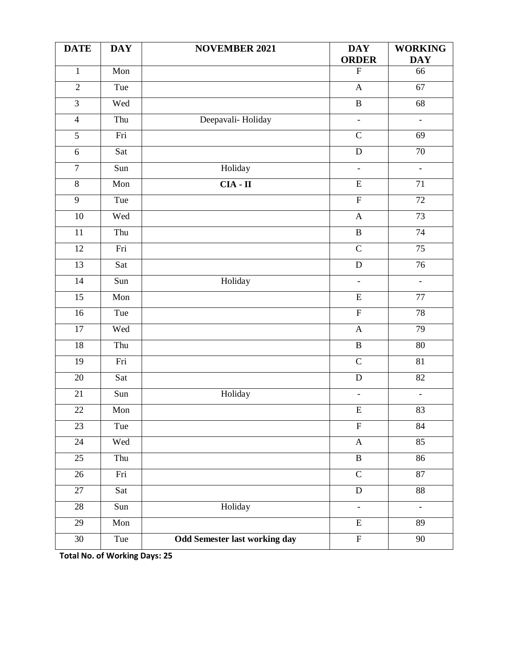| <b>DATE</b>      | <b>DAY</b> | <b>NOVEMBER 2021</b>                 | <b>DAY</b><br><b>ORDER</b> | <b>WORKING</b><br><b>DAY</b> |
|------------------|------------|--------------------------------------|----------------------------|------------------------------|
| $\mathbf{1}$     | Mon        |                                      | ${\bf F}$                  | 66                           |
| $\overline{2}$   | Tue        |                                      | $\boldsymbol{\mathsf{A}}$  | 67                           |
| $\overline{3}$   | Wed        |                                      | $\, {\bf B}$               | 68                           |
| $\overline{4}$   | Thu        | Deepavali-Holiday                    | $\overline{\phantom{0}}$   | $\blacksquare$               |
| $\overline{5}$   | Fri        |                                      | $\overline{C}$             | 69                           |
| 6                | Sat        |                                      | ${\bf D}$                  | $\overline{70}$              |
| $\boldsymbol{7}$ | Sun        | Holiday                              | $\frac{1}{2}$              | $\blacksquare$               |
| $\overline{8}$   | Mon        | $CIA - II$                           | $\overline{E}$             | $\overline{71}$              |
| $\overline{9}$   | Tue        |                                      | $\overline{F}$             | $\overline{72}$              |
| $\overline{10}$  | Wed        |                                      | $\boldsymbol{A}$           | $\overline{73}$              |
| 11               | Thu        |                                      | $\, {\bf B}$               | 74                           |
| 12               | Fri        |                                      | $\overline{C}$             | $\overline{75}$              |
| $\overline{13}$  | Sat        |                                      | ${\bf D}$                  | $\overline{76}$              |
| $\overline{14}$  | Sun        | Holiday                              | $\Box$                     | $\Box$                       |
| $\overline{15}$  | Mon        |                                      | ${\bf E}$                  | $77 \,$                      |
| 16               | Tue        |                                      | $\overline{F}$             | 78                           |
| 17               | Wed        |                                      | $\boldsymbol{\mathsf{A}}$  | $\overline{79}$              |
| 18               | Thu        |                                      | $\overline{B}$             | 80                           |
| $\overline{19}$  | Fri        |                                      | $\overline{C}$             | 81                           |
| 20               | Sat        |                                      | $\overline{D}$             | $\overline{82}$              |
| 21               | Sun        | Holiday                              | $\overline{\phantom{0}}$   | $\overline{\phantom{0}}$     |
| $22\,$           | Mon        |                                      | $\overline{\mathrm{E}}$    | 83                           |
| 23               | Tue        |                                      | $\overline{F}$             | $\overline{84}$              |
| $\overline{24}$  | Wed        |                                      | $\mathbf{A}$               | 85                           |
| $\overline{25}$  | Thu        |                                      | $\overline{B}$             | $\overline{86}$              |
| $\overline{26}$  | Fri        |                                      | $\overline{C}$             | 87                           |
| 27               | Sat        |                                      | ${\bf D}$                  | $\overline{88}$              |
| $\overline{28}$  | Sun        | Holiday                              | $\overline{\phantom{0}}$   | $\blacksquare$               |
| $\overline{29}$  | Mon        |                                      | $\overline{\mathrm{E}}$    | $\overline{89}$              |
| $\overline{30}$  | Tue        | <b>Odd Semester last working day</b> | $\overline{F}$             | $\overline{90}$              |